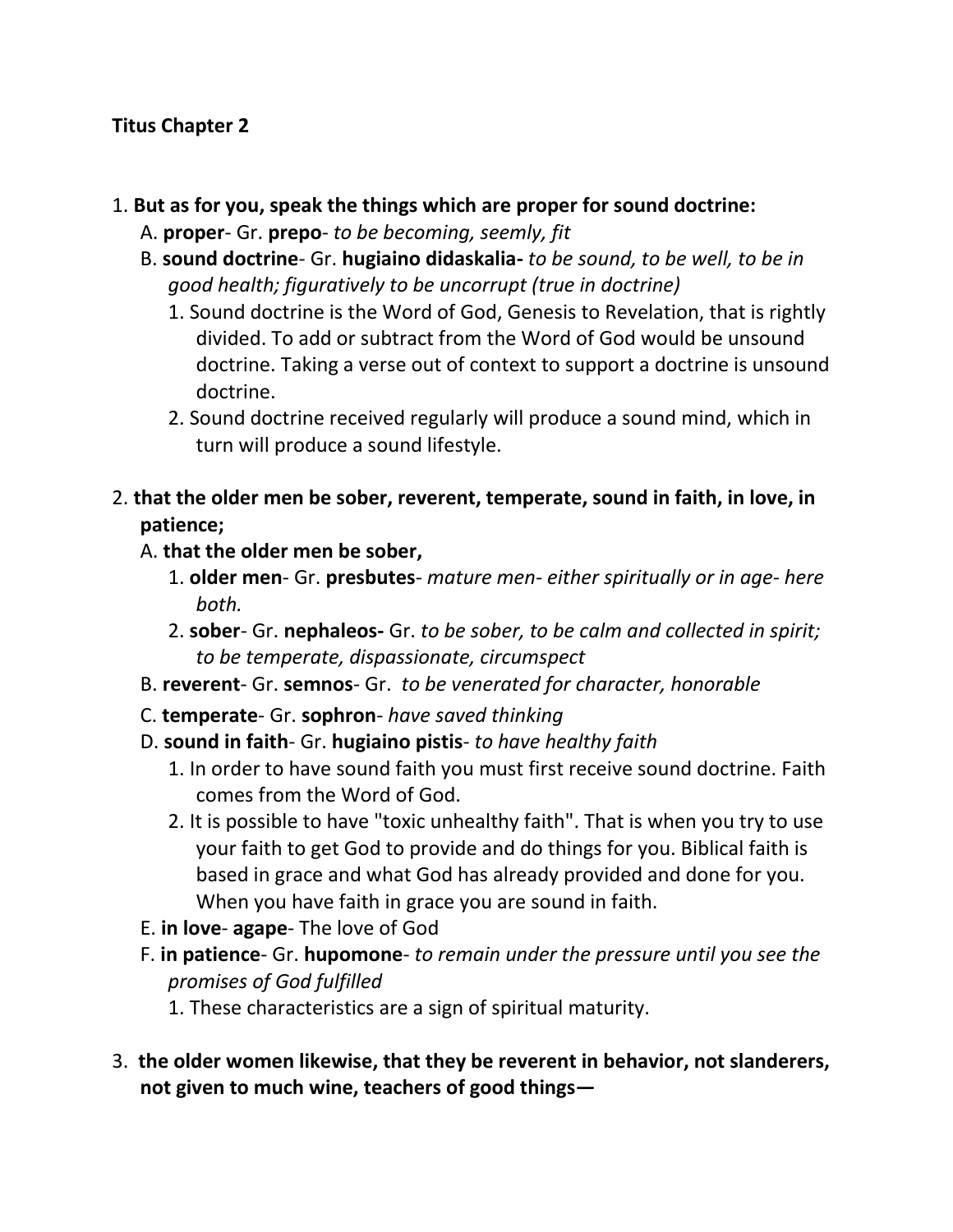#### **Titus Chapter 2**

- 1. **But as for you, speak the things which are proper for sound doctrine:** 
	- A. **proper** Gr. **prepo** *to be becoming, seemly, fit*
	- B. **sound doctrine** Gr. **hugiaino didaskalia-** *to be sound, to be well, to be in good health; figuratively to be uncorrupt (true in doctrine)*
		- 1. Sound doctrine is the Word of God, Genesis to Revelation, that is rightly divided. To add or subtract from the Word of God would be unsound doctrine. Taking a verse out of context to support a doctrine is unsound doctrine.
		- 2. Sound doctrine received regularly will produce a sound mind, which in turn will produce a sound lifestyle.
- 2. **that the older men be sober, reverent, temperate, sound in faith, in love, in patience;** 
	- A. **that the older men be sober,**
		- 1. **older men** Gr. **presbutes** *mature men- either spiritually or in age- here both.*
		- 2. **sober** Gr. **nephaleos-** Gr. *to be sober, to be calm and collected in spirit; to be temperate, dispassionate, circumspect*
	- B. **reverent** Gr. **semnos** Gr. *to be venerated for character, honorable*
	- C. **temperate** Gr. **sophron** *have saved thinking*
	- D. **sound in faith** Gr. **hugiaino pistis** *to have healthy faith*
		- 1. In order to have sound faith you must first receive sound doctrine. Faith comes from the Word of God.
		- 2. It is possible to have "toxic unhealthy faith". That is when you try to use your faith to get God to provide and do things for you. Biblical faith is based in grace and what God has already provided and done for you. When you have faith in grace you are sound in faith.
	- E. **in love agape** The love of God
	- F. **in patience** Gr. **hupomone** *to remain under the pressure until you see the promises of God fulfilled*
		- 1. These characteristics are a sign of spiritual maturity.
- 3. **the older women likewise, that they be reverent in behavior, not slanderers, not given to much wine, teachers of good things—**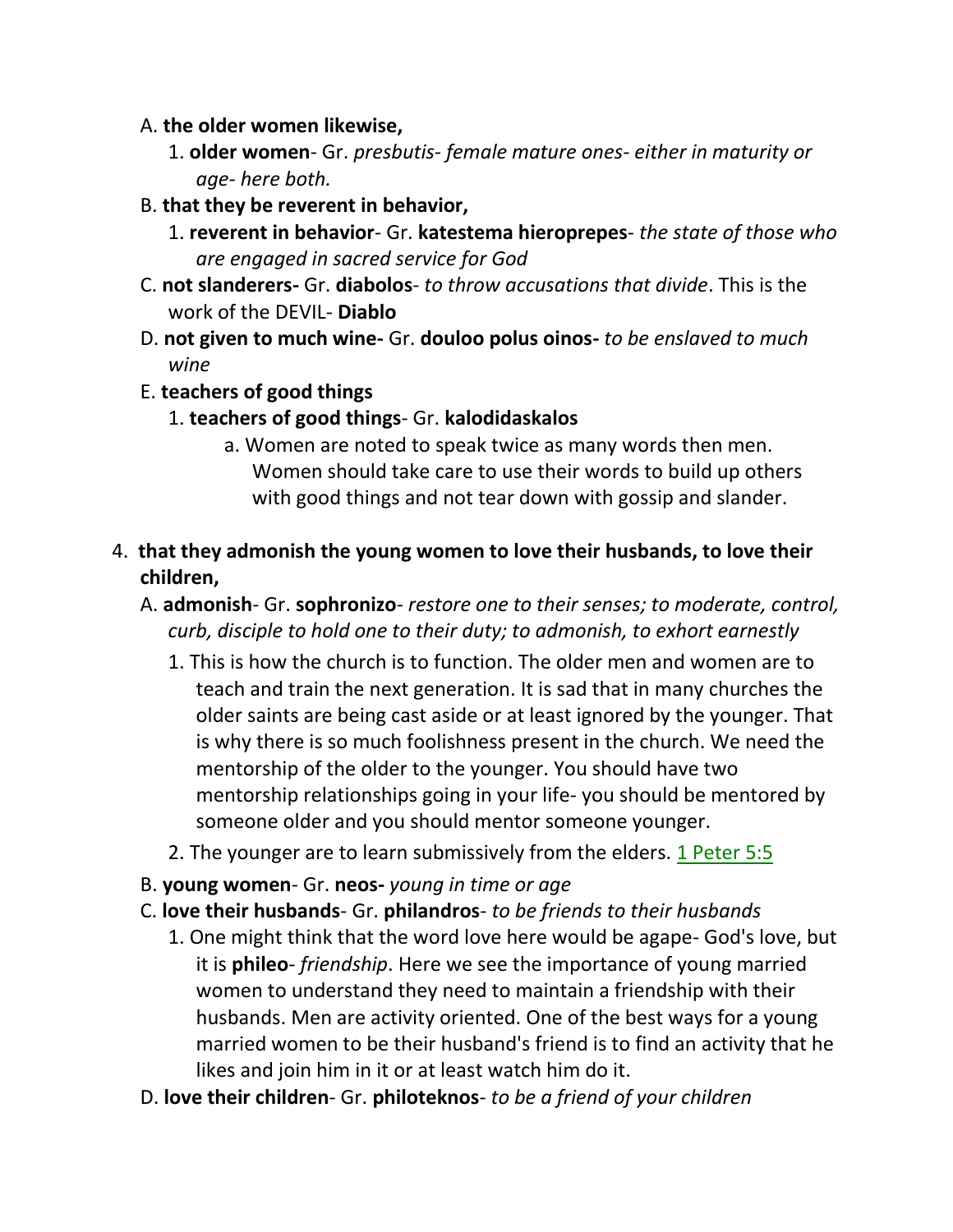- A. **the older women likewise,**
	- 1. **older women** Gr. *presbutis- female mature ones- either in maturity or age- here both.*
- B. **that they be reverent in behavior,**
	- 1. **reverent in behavior** Gr. **katestema hieroprepes** *the state of those who are engaged in sacred service for God*
- C. **not slanderers-** Gr. **diabolos** *to throw accusations that divide*. This is the work of the DEVIL- **Diablo**
- D. **not given to much wine-** Gr. **douloo polus oinos-** *to be enslaved to much wine*
- E. **teachers of good things**
	- 1. **teachers of good things** Gr. **kalodidaskalos**
		- a. Women are noted to speak twice as many words then men. Women should take care to use their words to build up others with good things and not tear down with gossip and slander.
- 4. **that they admonish the young women to love their husbands, to love their children,**
	- A. **admonish** Gr. **sophronizo** *restore one to their senses; to moderate, control, curb, disciple to hold one to their duty; to admonish, to exhort earnestly*
		- 1. This is how the church is to function. The older men and women are to teach and train the next generation. It is sad that in many churches the older saints are being cast aside or at least ignored by the younger. That is why there is so much foolishness present in the church. We need the mentorship of the older to the younger. You should have two mentorship relationships going in your life- you should be mentored by someone older and you should mentor someone younger.
		- 2. The younger are to learn submissively from the elders. 1 Peter 5:5
	- B. **young women** Gr. **neos-** *young in time or age*
	- C. **love their husbands** Gr. **philandros** *to be friends to their husbands*
		- 1. One might think that the word love here would be agape- God's love, but it is **phileo**- *friendship*. Here we see the importance of young married women to understand they need to maintain a friendship with their husbands. Men are activity oriented. One of the best ways for a young married women to be their husband's friend is to find an activity that he likes and join him in it or at least watch him do it.
	- D. **love their children** Gr. **philoteknos** *to be a friend of your children*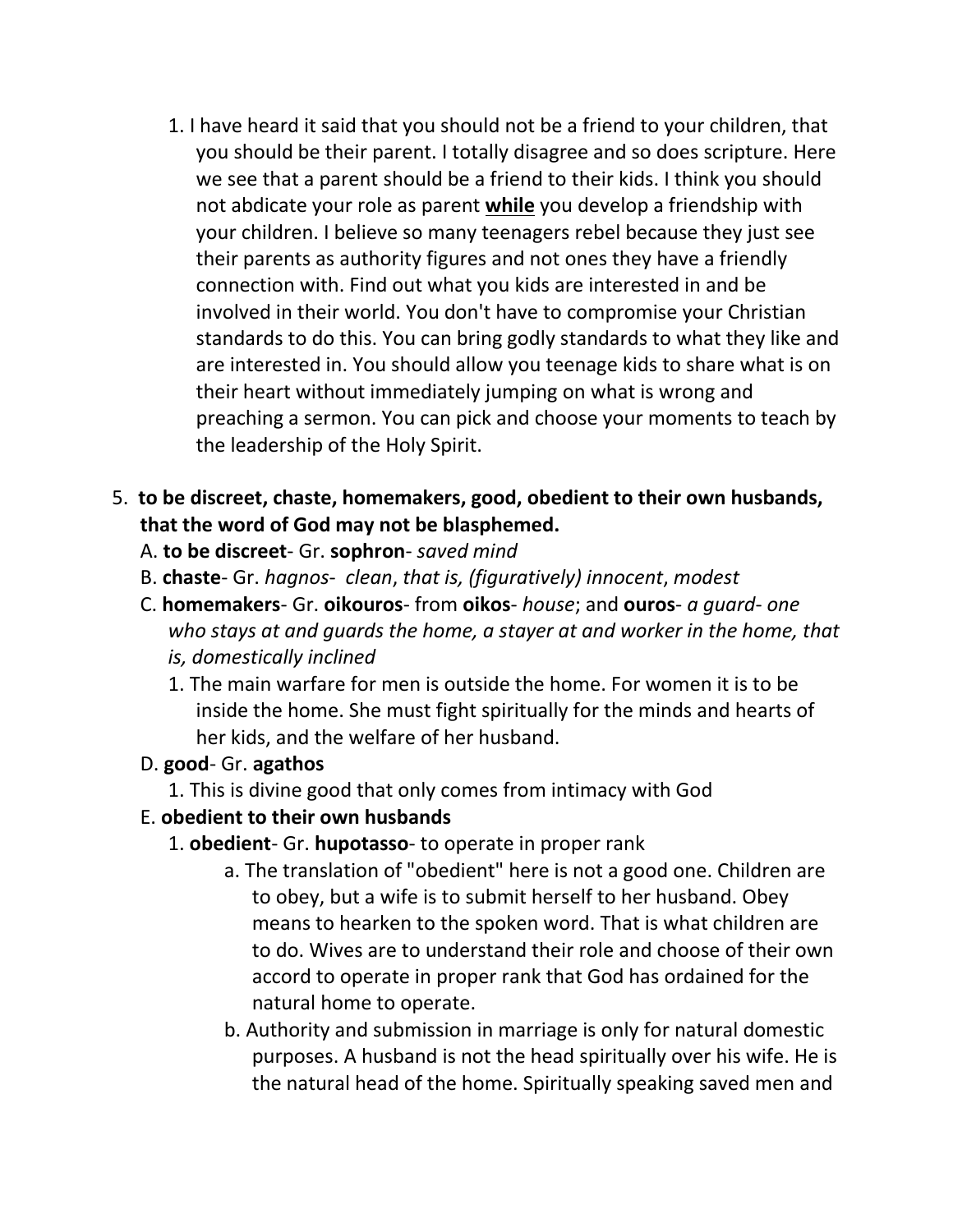1. I have heard it said that you should not be a friend to your children, that you should be their parent. I totally disagree and so does scripture. Here we see that a parent should be a friend to their kids. I think you should not abdicate your role as parent **while** you develop a friendship with your children. I believe so many teenagers rebel because they just see their parents as authority figures and not ones they have a friendly connection with. Find out what you kids are interested in and be involved in their world. You don't have to compromise your Christian standards to do this. You can bring godly standards to what they like and are interested in. You should allow you teenage kids to share what is on their heart without immediately jumping on what is wrong and preaching a sermon. You can pick and choose your moments to teach by the leadership of the Holy Spirit.

# 5. **to be discreet, chaste, homemakers, good, obedient to their own husbands, that the word of God may not be blasphemed.**

#### A. **to be discreet**- Gr. **sophron**- *saved mind*

- B. **chaste** Gr. *hagnos clean*, *that is, (figuratively) innocent*, *modest*
- C. **homemakers** Gr. **oikouros** from **oikos** *house*; and **ouros** *a guard one who stays at and guards the home, a stayer at and worker in the home, that is, domestically inclined*
	- 1. The main warfare for men is outside the home. For women it is to be inside the home. She must fight spiritually for the minds and hearts of her kids, and the welfare of her husband.

#### D. **good**- Gr. **agathos**

1. This is divine good that only comes from intimacy with God

### E. **obedient to their own husbands**

- 1. **obedient** Gr. **hupotasso** to operate in proper rank
	- a. The translation of "obedient" here is not a good one. Children are to obey, but a wife is to submit herself to her husband. Obey means to hearken to the spoken word. That is what children are to do. Wives are to understand their role and choose of their own accord to operate in proper rank that God has ordained for the natural home to operate.
	- b. Authority and submission in marriage is only for natural domestic purposes. A husband is not the head spiritually over his wife. He is the natural head of the home. Spiritually speaking saved men and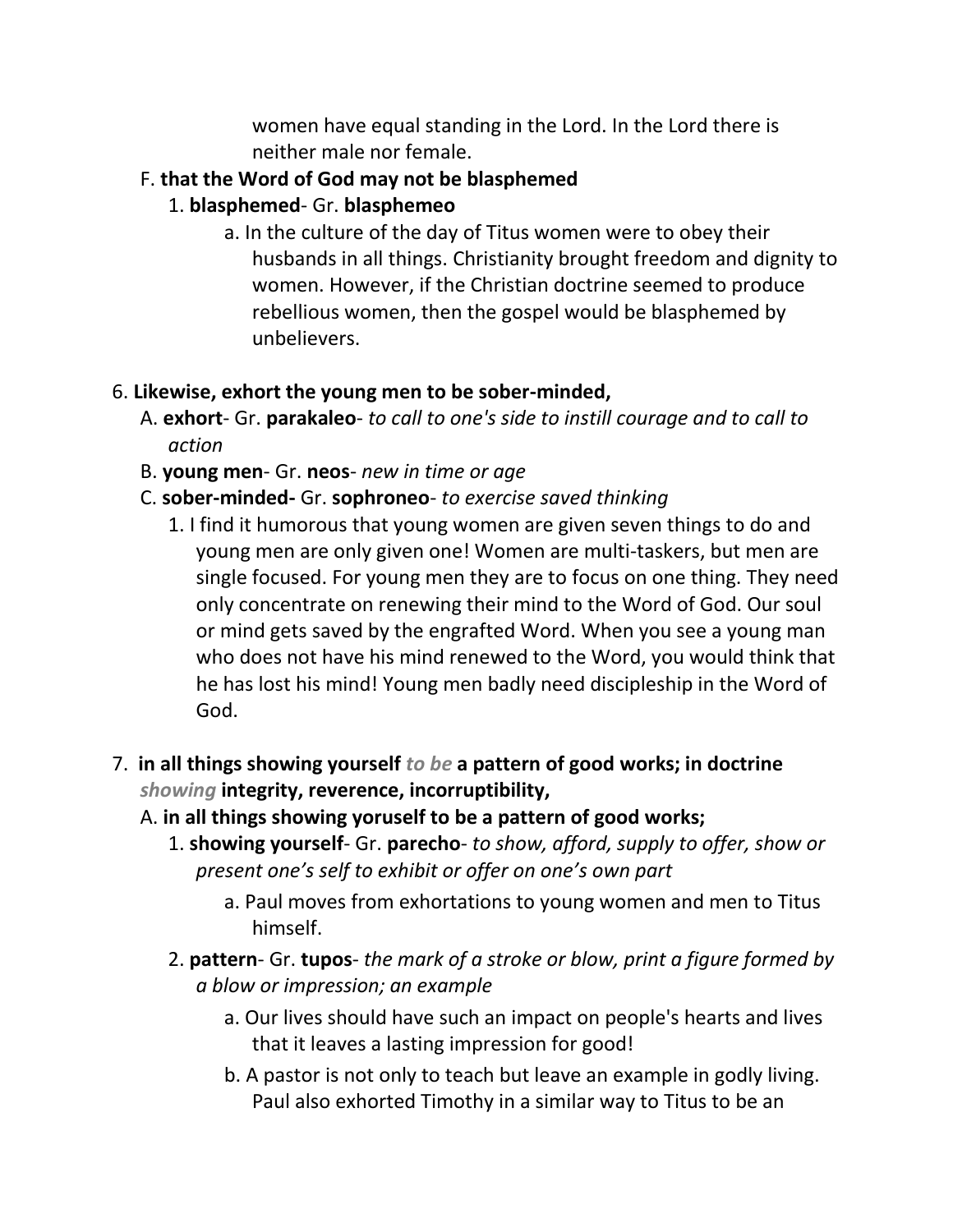women have equal standing in the Lord. In the Lord there is neither male nor female.

#### F. **that the Word of God may not be blasphemed**

- 1. **blasphemed** Gr. **blasphemeo**
	- a. In the culture of the day of Titus women were to obey their husbands in all things. Christianity brought freedom and dignity to women. However, if the Christian doctrine seemed to produce rebellious women, then the gospel would be blasphemed by unbelievers.

#### 6. **Likewise, exhort the young men to be sober-minded,**

- A. **exhort** Gr. **parakaleo** *to call to one's side to instill courage and to call to action*
- B. **young men** Gr. **neos** *new in time or age*
- C. **sober-minded-** Gr. **sophroneo** *to exercise saved thinking*
	- 1. I find it humorous that young women are given seven things to do and young men are only given one! Women are multi-taskers, but men are single focused. For young men they are to focus on one thing. They need only concentrate on renewing their mind to the Word of God. Our soul or mind gets saved by the engrafted Word. When you see a young man who does not have his mind renewed to the Word, you would think that he has lost his mind! Young men badly need discipleship in the Word of God.
- 7. **in all things showing yourself** *to be* **a pattern of good works; in doctrine**  *showing* **integrity, reverence, incorruptibility,**
	- A. **in all things showing yoruself to be a pattern of good works;**
		- 1. **showing yourself** Gr. **parecho** *to show, afford, supply to offer, show or present one's self to exhibit or offer on one's own part*
			- a. Paul moves from exhortations to young women and men to Titus himself.
		- 2. **pattern** Gr. **tupos** *the mark of a stroke or blow, print a figure formed by a blow or impression; an example*
			- a. Our lives should have such an impact on people's hearts and lives that it leaves a lasting impression for good!
			- b. A pastor is not only to teach but leave an example in godly living. Paul also exhorted Timothy in a similar way to Titus to be an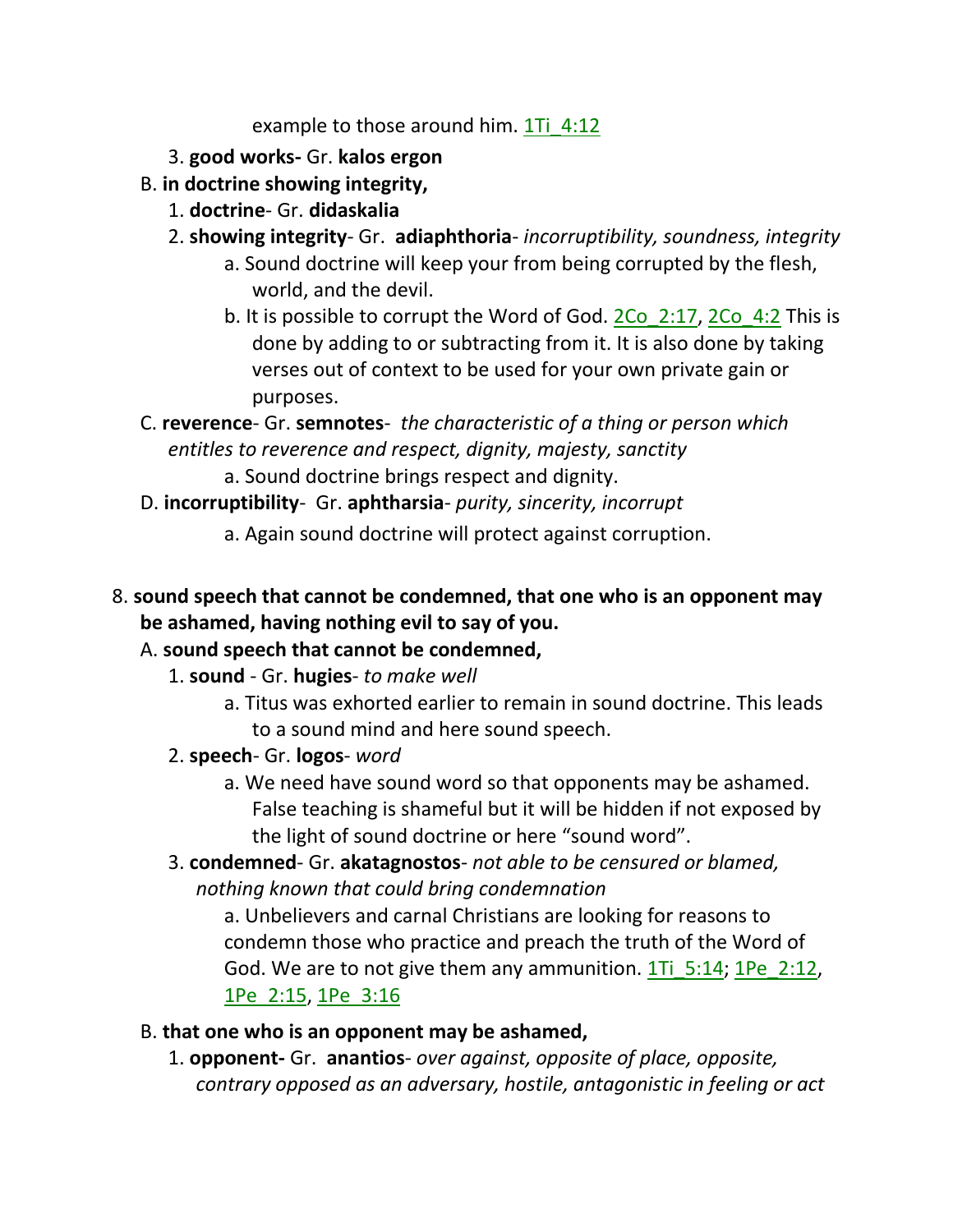example to those around him. 1Ti 4:12

- 3. **good works-** Gr. **kalos ergon**
- B. **in doctrine showing integrity,**
	- 1. **doctrine** Gr. **didaskalia**
	- 2. **showing integrity** Gr. **adiaphthoria** *incorruptibility, soundness, integrity*
		- a. Sound doctrine will keep your from being corrupted by the flesh, world, and the devil.
		- b. It is possible to corrupt the Word of God. 2Co 2:17, 2Co 4:2 This is done by adding to or subtracting from it. It is also done by taking verses out of context to be used for your own private gain or purposes.
- C. **reverence** Gr. **semnotes** *the characteristic of a thing or person which entitles to reverence and respect, dignity, majesty, sanctity*
	- a. Sound doctrine brings respect and dignity.
- D. **incorruptibility** Gr. **aphtharsia** *purity, sincerity, incorrupt*
	- a. Again sound doctrine will protect against corruption.
- 8. **sound speech that cannot be condemned, that one who is an opponent may be ashamed, having nothing evil to say of you.**
	- A. **sound speech that cannot be condemned,**
		- 1. **sound** Gr. **hugies** *to make well*
			- a. Titus was exhorted earlier to remain in sound doctrine. This leads to a sound mind and here sound speech.
		- 2. **speech** Gr. **logos** *word*
			- a. We need have sound word so that opponents may be ashamed. False teaching is shameful but it will be hidden if not exposed by the light of sound doctrine or here "sound word".
		- 3. **condemned** Gr. **akatagnostos** *not able to be censured or blamed, nothing known that could bring condemnation*

a. Unbelievers and carnal Christians are looking for reasons to condemn those who practice and preach the truth of the Word of God. We are to not give them any ammunition. 1Ti 5:14; 1Pe 2:12, 1Pe\_2:15, 1Pe\_3:16

- B. **that one who is an opponent may be ashamed,**
	- 1. **opponent-** Gr. **anantios** *over against, opposite of place, opposite, contrary opposed as an adversary, hostile, antagonistic in feeling or act*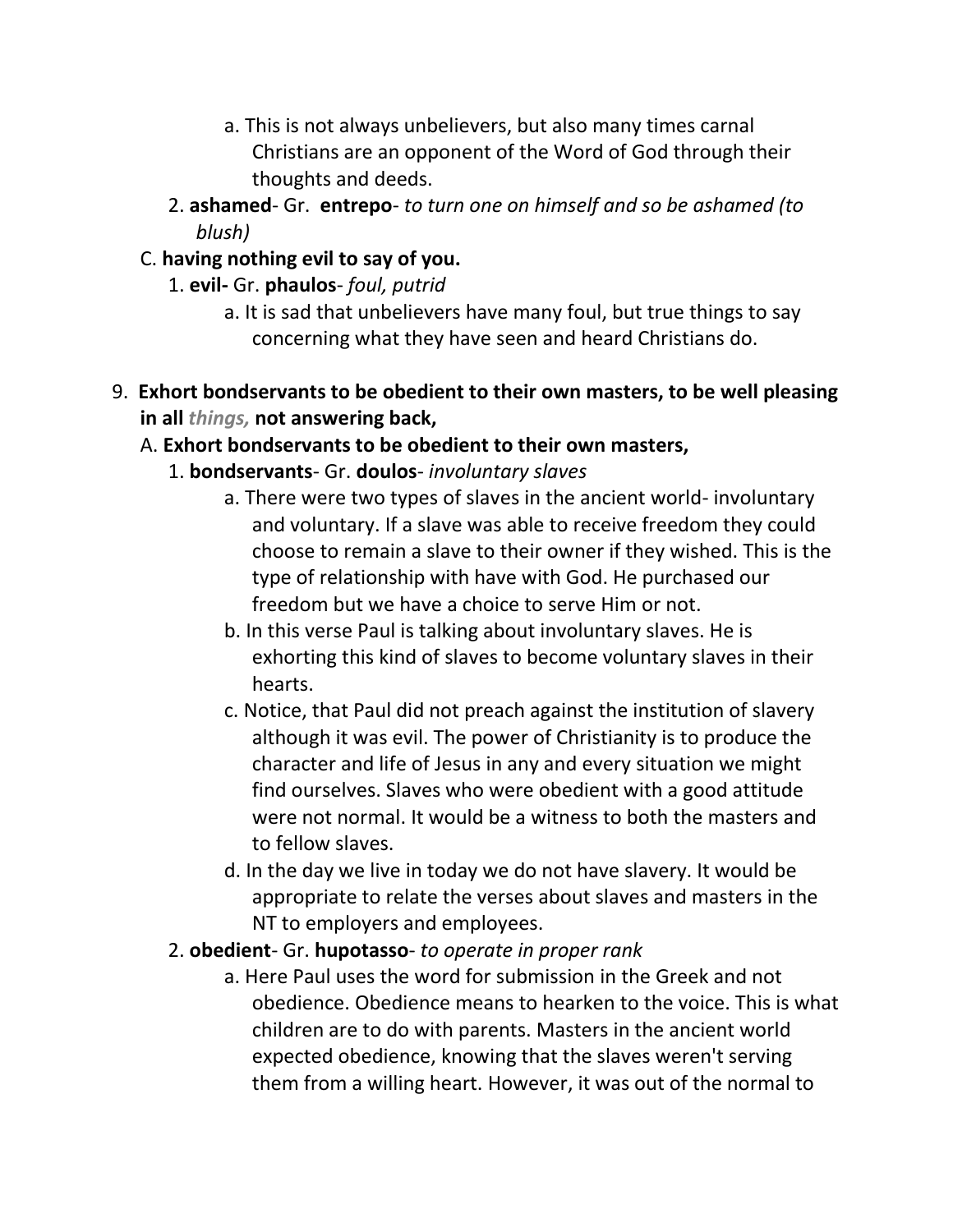- a. This is not always unbelievers, but also many times carnal Christians are an opponent of the Word of God through their thoughts and deeds.
- 2. **ashamed** Gr. **entrepo** *to turn one on himself and so be ashamed (to blush)*

### C. **having nothing evil to say of you.**

- 1. **evil-** Gr. **phaulos** *foul, putrid*
	- a. It is sad that unbelievers have many foul, but true things to say concerning what they have seen and heard Christians do.
- 9. **Exhort bondservants to be obedient to their own masters, to be well pleasing in all** *things,* **not answering back,**

#### A. **Exhort bondservants to be obedient to their own masters,**

#### 1. **bondservants**- Gr. **doulos**- *involuntary slaves*

- a. There were two types of slaves in the ancient world- involuntary and voluntary. If a slave was able to receive freedom they could choose to remain a slave to their owner if they wished. This is the type of relationship with have with God. He purchased our freedom but we have a choice to serve Him or not.
- b. In this verse Paul is talking about involuntary slaves. He is exhorting this kind of slaves to become voluntary slaves in their hearts.
- c. Notice, that Paul did not preach against the institution of slavery although it was evil. The power of Christianity is to produce the character and life of Jesus in any and every situation we might find ourselves. Slaves who were obedient with a good attitude were not normal. It would be a witness to both the masters and to fellow slaves.
- d. In the day we live in today we do not have slavery. It would be appropriate to relate the verses about slaves and masters in the NT to employers and employees.

#### 2. **obedient**- Gr. **hupotasso**- *to operate in proper rank*

a. Here Paul uses the word for submission in the Greek and not obedience. Obedience means to hearken to the voice. This is what children are to do with parents. Masters in the ancient world expected obedience, knowing that the slaves weren't serving them from a willing heart. However, it was out of the normal to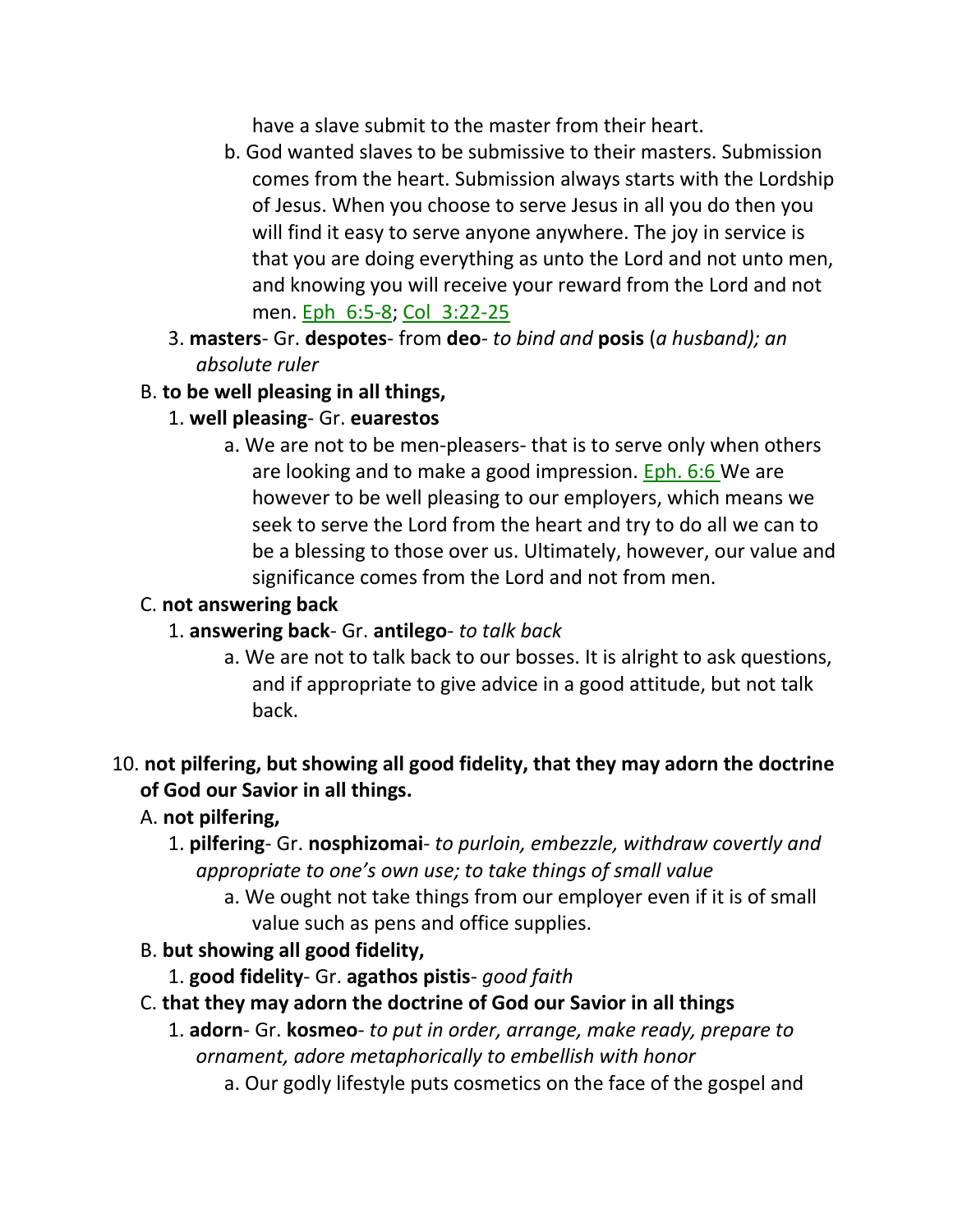have a slave submit to the master from their heart.

- b. God wanted slaves to be submissive to their masters. Submission comes from the heart. Submission always starts with the Lordship of Jesus. When you choose to serve Jesus in all you do then you will find it easy to serve anyone anywhere. The joy in service is that you are doing everything as unto the Lord and not unto men, and knowing you will receive your reward from the Lord and not men. Eph\_6:5-8; Col\_3:22-25
- 3. **masters** Gr. **despotes** from **deo** *to bind and* **posis** (*a husband); an absolute ruler*

# B. **to be well pleasing in all things,**

- 1. **well pleasing** Gr. **euarestos**
	- a. We are not to be men-pleasers- that is to serve only when others are looking and to make a good impression. Eph. 6:6 We are however to be well pleasing to our employers, which means we seek to serve the Lord from the heart and try to do all we can to be a blessing to those over us. Ultimately, however, our value and significance comes from the Lord and not from men.

## C. **not answering back**

- 1. **answering back** Gr. **antilego** *to talk back*
	- a. We are not to talk back to our bosses. It is alright to ask questions, and if appropriate to give advice in a good attitude, but not talk back.

### 10. **not pilfering, but showing all good fidelity, that they may adorn the doctrine of God our Savior in all things.**

- A. **not pilfering,**
	- 1. **pilfering** Gr. **nosphizomai** *to purloin, embezzle, withdraw covertly and appropriate to one's own use; to take things of small value*
		- a. We ought not take things from our employer even if it is of small value such as pens and office supplies.
- B. **but showing all good fidelity,**
	- 1. **good fidelity** Gr. **agathos pistis** *good faith*
- C. **that they may adorn the doctrine of God our Savior in all things**
	- 1. **adorn** Gr. **kosmeo** *to put in order, arrange, make ready, prepare to ornament, adore metaphorically to embellish with honor*
		- a. Our godly lifestyle puts cosmetics on the face of the gospel and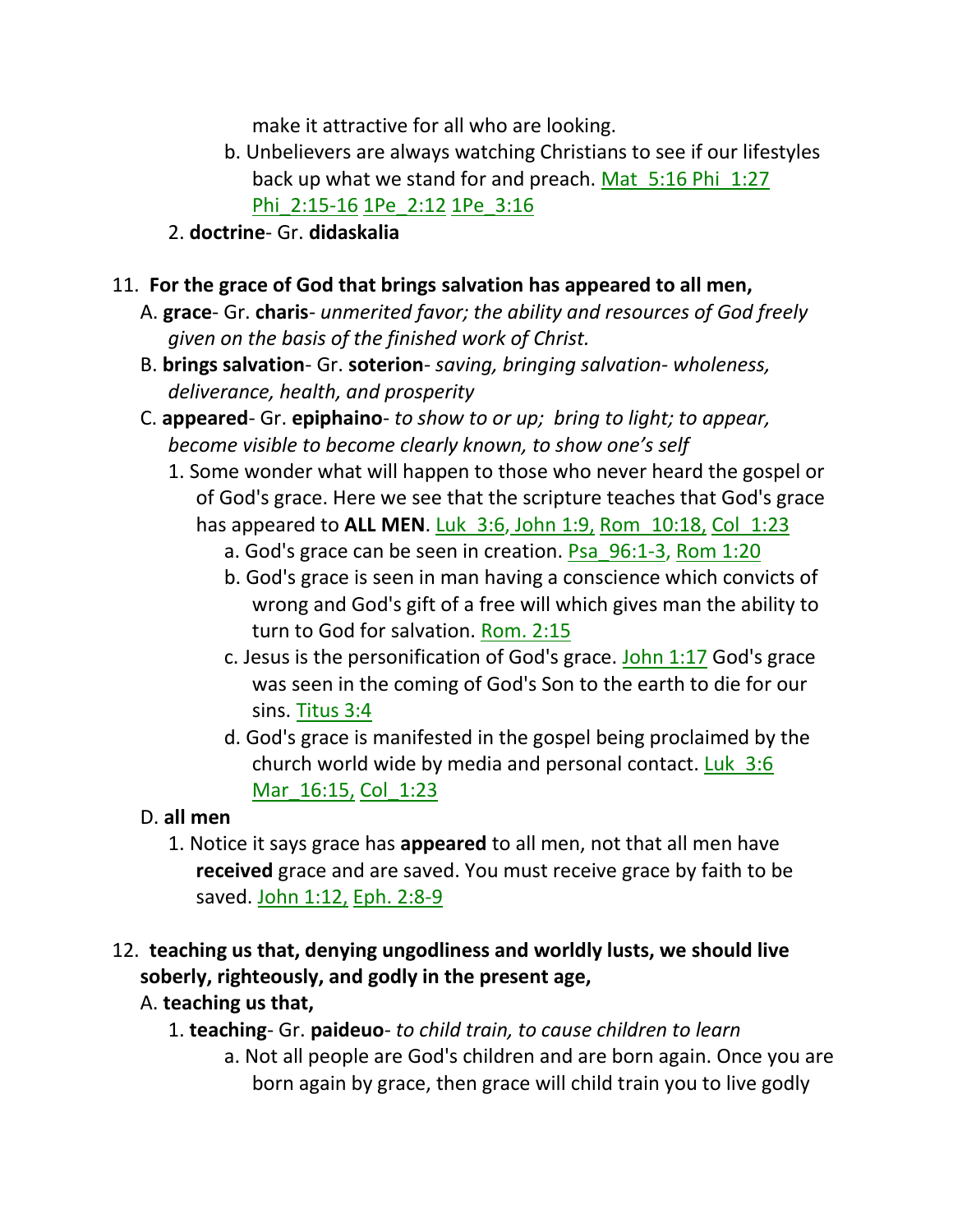make it attractive for all who are looking.

- b. Unbelievers are always watching Christians to see if our lifestyles back up what we stand for and preach. Mat\_5:16 Phi\_1:27 Phi\_2:15-16 1Pe\_2:12 1Pe\_3:16
- 2. **doctrine** Gr. **didaskalia**
- 11. **For the grace of God that brings salvation has appeared to all men,** 
	- A. **grace** Gr. **charis** *unmerited favor; the ability and resources of God freely given on the basis of the finished work of Christ.*
	- B. **brings salvation** Gr. **soterion** *saving, bringing salvation- wholeness, deliverance, health, and prosperity*
	- C. **appeared** Gr. **epiphaino** *to show to or up; bring to light; to appear, become visible to become clearly known, to show one's self*
		- 1. Some wonder what will happen to those who never heard the gospel or of God's grace. Here we see that the scripture teaches that God's grace has appeared to ALL MEN. Luk 3:6, John 1:9, Rom 10:18, Col 1:23
			- a. God's grace can be seen in creation. Psa\_96:1-3, Rom 1:20
			- b. God's grace is seen in man having a conscience which convicts of wrong and God's gift of a free will which gives man the ability to turn to God for salvation. Rom. 2:15
			- c. Jesus is the personification of God's grace. John  $1:17$  God's grace was seen in the coming of God's Son to the earth to die for our sins. Titus 3:4
			- d. God's grace is manifested in the gospel being proclaimed by the church world wide by media and personal contact. Luk  $3:6$ Mar\_16:15, Col\_1:23
	- D. **all men** 
		- 1. Notice it says grace has **appeared** to all men, not that all men have **received** grace and are saved. You must receive grace by faith to be saved. John 1:12, Eph. 2:8-9
- 12. **teaching us that, denying ungodliness and worldly lusts, we should live soberly, righteously, and godly in the present age,** 
	- A. **teaching us that,**
		- 1. **teaching** Gr. **paideuo** *to child train, to cause children to learn*
			- a. Not all people are God's children and are born again. Once you are born again by grace, then grace will child train you to live godly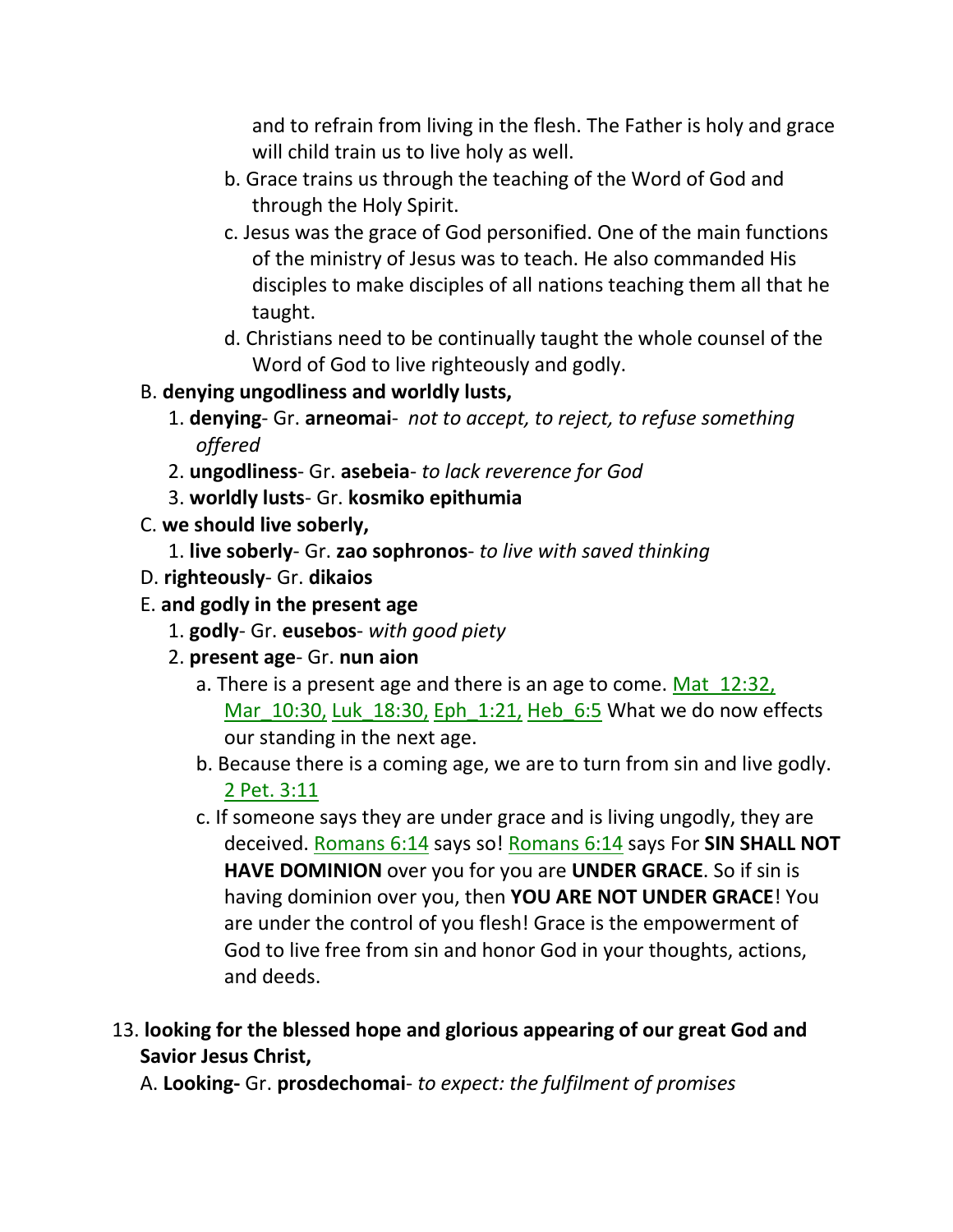and to refrain from living in the flesh. The Father is holy and grace will child train us to live holy as well.

- b. Grace trains us through the teaching of the Word of God and through the Holy Spirit.
- c. Jesus was the grace of God personified. One of the main functions of the ministry of Jesus was to teach. He also commanded His disciples to make disciples of all nations teaching them all that he taught.
- d. Christians need to be continually taught the whole counsel of the Word of God to live righteously and godly.
- B. **denying ungodliness and worldly lusts,**
	- 1. **denying** Gr. **arneomai** *not to accept, to reject, to refuse something offered*
	- 2. **ungodliness** Gr. **asebeia** *to lack reverence for God*
	- 3. **worldly lusts** Gr. **kosmiko epithumia**
- C. **we should live soberly,**
	- 1. **live soberly** Gr. **zao sophronos** *to live with saved thinking*
- D. **righteously** Gr. **dikaios**
- E. **and godly in the present age**
	- 1. **godly** Gr. **eusebos** *with good piety*
	- 2. **present age** Gr. **nun aion**
		- a. There is a present age and there is an age to come. Mat 12:32, Mar\_10:30, Luk\_18:30, Eph\_1:21, Heb\_6:5 What we do now effects our standing in the next age.
		- b. Because there is a coming age, we are to turn from sin and live godly. 2 Pet. 3:11
		- c. If someone says they are under grace and is living ungodly, they are deceived. Romans 6:14 says so! Romans 6:14 says For **SIN SHALL NOT HAVE DOMINION** over you for you are **UNDER GRACE**. So if sin is having dominion over you, then **YOU ARE NOT UNDER GRACE**! You are under the control of you flesh! Grace is the empowerment of God to live free from sin and honor God in your thoughts, actions, and deeds.
- 13. **looking for the blessed hope and glorious appearing of our great God and Savior Jesus Christ,**

A. **Looking-** Gr. **prosdechomai**- *to expect: the fulfilment of promises*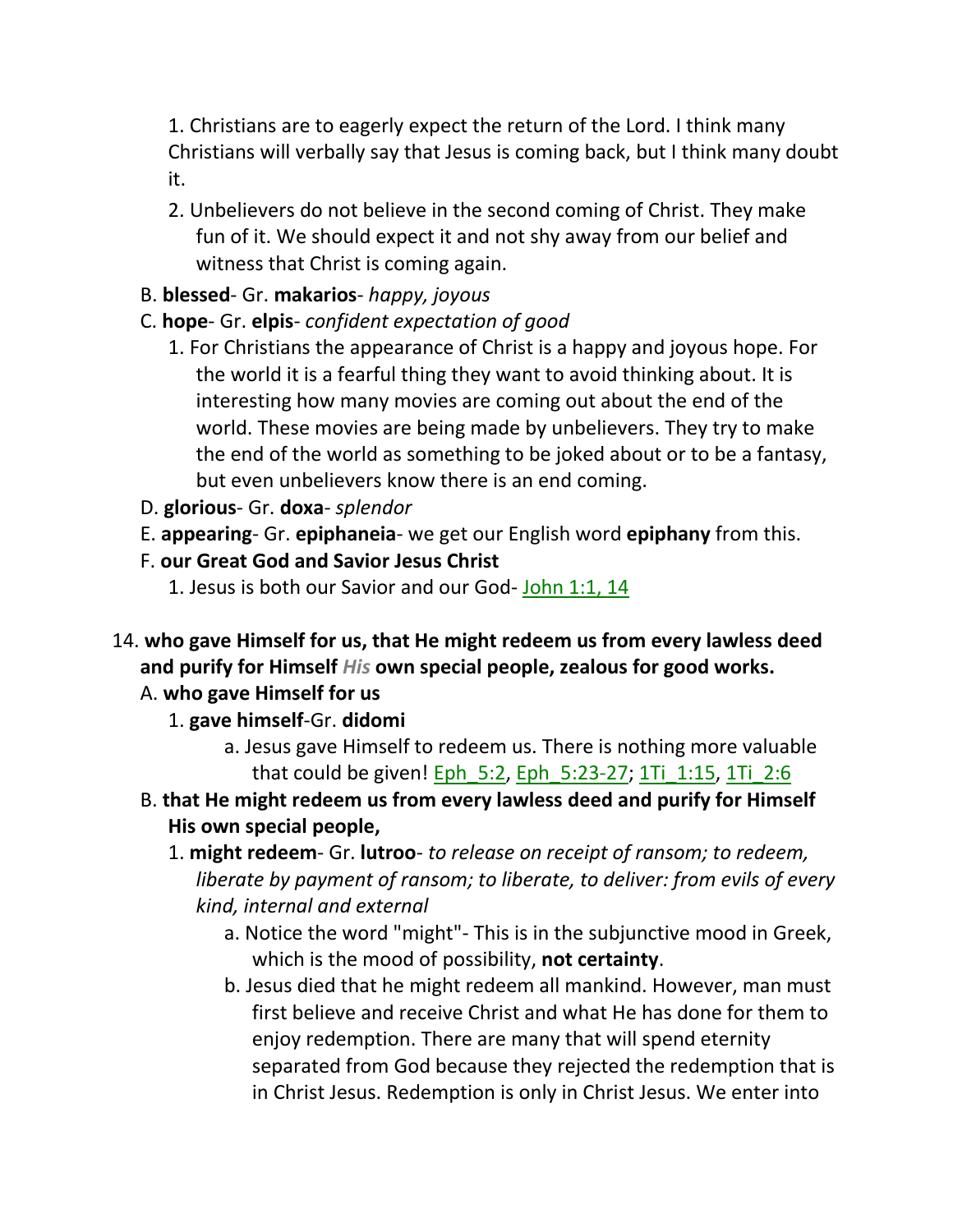1. Christians are to eagerly expect the return of the Lord. I think many Christians will verbally say that Jesus is coming back, but I think many doubt it.

2. Unbelievers do not believe in the second coming of Christ. They make fun of it. We should expect it and not shy away from our belief and witness that Christ is coming again.

### B. **blessed**- Gr. **makarios**- *happy, joyous*

# C. **hope**- Gr. **elpis**- *confident expectation of good*

- 1. For Christians the appearance of Christ is a happy and joyous hope. For the world it is a fearful thing they want to avoid thinking about. It is interesting how many movies are coming out about the end of the world. These movies are being made by unbelievers. They try to make the end of the world as something to be joked about or to be a fantasy, but even unbelievers know there is an end coming.
- D. **glorious** Gr. **doxa** *splendor*
- E. **appearing** Gr. **epiphaneia** we get our English word **epiphany** from this.
- F. **our Great God and Savior Jesus Christ** 
	- 1. Jesus is both our Savior and our God- John 1:1, 14
- 14. **who gave Himself for us, that He might redeem us from every lawless deed and purify for Himself** *His* **own special people, zealous for good works.**

### A. **who gave Himself for us**

- 1. **gave himself**-Gr. **didomi**
	- a. Jesus gave Himself to redeem us. There is nothing more valuable that could be given! Eph\_5:2, Eph\_5:23-27; 1Ti\_1:15, 1Ti\_2:6
- B. **that He might redeem us from every lawless deed and purify for Himself His own special people,**
	- 1. **might redeem** Gr. **lutroo** *to release on receipt of ransom; to redeem, liberate by payment of ransom; to liberate, to deliver: from evils of every kind, internal and external*
		- a. Notice the word "might"- This is in the subjunctive mood in Greek, which is the mood of possibility, **not certainty**.
		- b. Jesus died that he might redeem all mankind. However, man must first believe and receive Christ and what He has done for them to enjoy redemption. There are many that will spend eternity separated from God because they rejected the redemption that is in Christ Jesus. Redemption is only in Christ Jesus. We enter into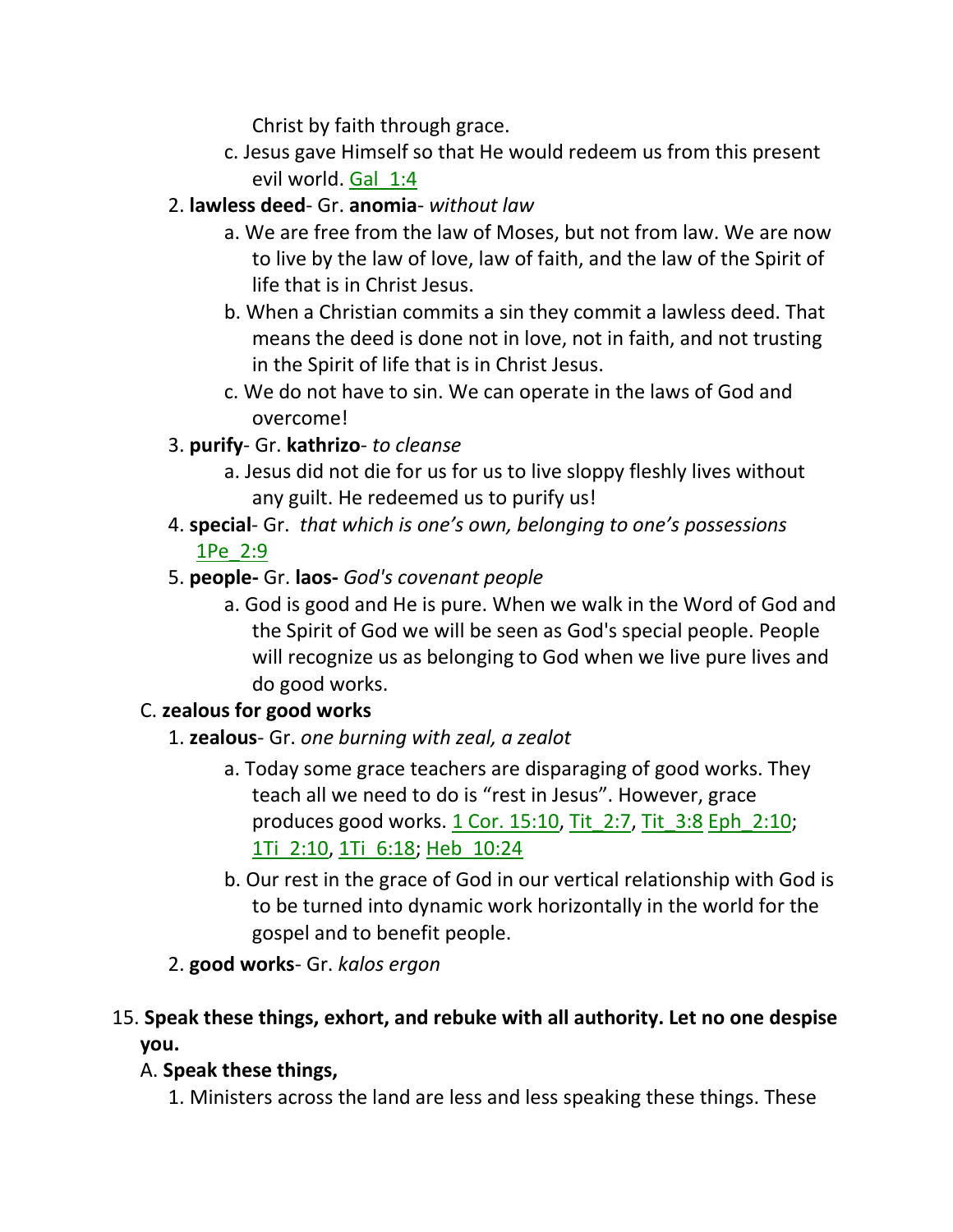Christ by faith through grace.

c. Jesus gave Himself so that He would redeem us from this present evil world. Gal\_1:4

# 2. **lawless deed**- Gr. **anomia**- *without law*

- a. We are free from the law of Moses, but not from law. We are now to live by the law of love, law of faith, and the law of the Spirit of life that is in Christ Jesus.
- b. When a Christian commits a sin they commit a lawless deed. That means the deed is done not in love, not in faith, and not trusting in the Spirit of life that is in Christ Jesus.
- c. We do not have to sin. We can operate in the laws of God and overcome!
- 3. **purify** Gr. **kathrizo** *to cleanse*
	- a. Jesus did not die for us for us to live sloppy fleshly lives without any guilt. He redeemed us to purify us!
- 4. **special** Gr. *that which is one's own, belonging to one's possessions*  1Pe\_2:9
- 5. **people-** Gr. **laos-** *God's covenant people*
	- a. God is good and He is pure. When we walk in the Word of God and the Spirit of God we will be seen as God's special people. People will recognize us as belonging to God when we live pure lives and do good works.

# C. **zealous for good works**

- 1. **zealous** Gr. *one burning with zeal, a zealot*
	- a. Today some grace teachers are disparaging of good works. They teach all we need to do is "rest in Jesus". However, grace produces good works. 1 Cor. 15:10, Tit\_2:7, Tit\_3:8 Eph\_2:10; 1Ti\_2:10, 1Ti\_6:18; Heb\_10:24
	- b. Our rest in the grace of God in our vertical relationship with God is to be turned into dynamic work horizontally in the world for the gospel and to benefit people.
- 2. **good works** Gr. *kalos ergon*
- 15. **Speak these things, exhort, and rebuke with all authority. Let no one despise you.**

# A. **Speak these things,**

1. Ministers across the land are less and less speaking these things. These